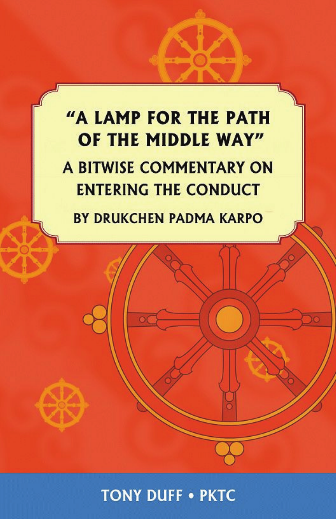# "A LAMP FOR THE PATH OF THE MIDDLE WAY" A BITWISE COMMENTARY ON **ENTERING THE CONDUCT**

**BY DRUKCHEN PADMA KARPO** 

**TONY DUFF . PKTC**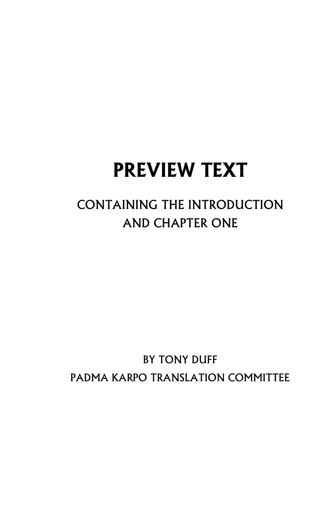# **PREVIEW TEXT**

## CONTAINING THE INTRODUCTION AND CHAPTER ONE

## BY TONY DUFF PADMA KARPO TRANSLATION COMMITTEE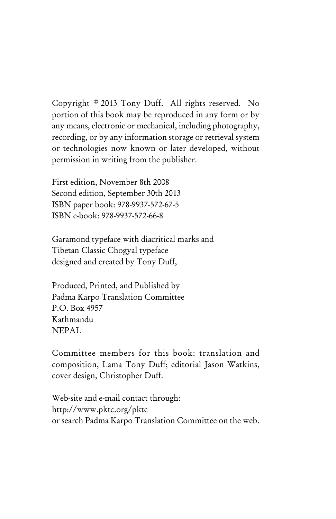Copyright © 2013 Tony Duff. All rights reserved. No portion of this book may be reproduced in any form or by any means, electronic or mechanical, including photography, recording, or by any information storage or retrieval system or technologies now known or later developed, without permission in writing from the publisher.

First edition, November 8th 2008 Second edition, September 30th 2013 ISBN paper book: 978-9937-572-67-5 ISBN e-book: 978-9937-572-66-8

Garamond typeface with diacritical marks and Tibetan Classic Chogyal typeface designed and created by Tony Duff,

Produced, Printed, and Published by Padma Karpo Translation Committee P.O. Box 4957 Kathmandu NEPAL

Committee members for this book: translation and composition, Lama Tony Duff; editorial Jason Watkins, cover design, Christopher Duff.

Web-site and e-mail contact through: http://www.pktc.org/pktc or search Padma Karpo Translation Committee on the web.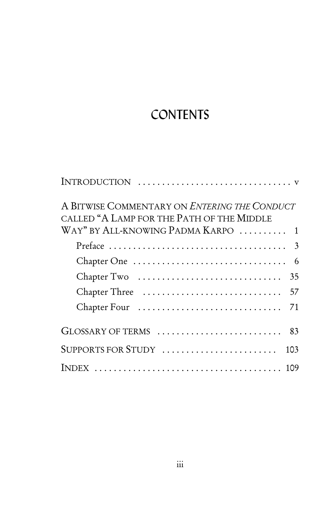## **CONTENTS**

| A BITWISE COMMENTARY ON ENTERING THE CONDUCT<br>CALLED "A LAMP FOR THE PATH OF THE MIDDLE<br>WAY" BY ALL-KNOWING PADMA KARPO  1 |
|---------------------------------------------------------------------------------------------------------------------------------|
|                                                                                                                                 |
|                                                                                                                                 |
| 35                                                                                                                              |
|                                                                                                                                 |
| Chapter Four<br>71                                                                                                              |
|                                                                                                                                 |
| SUPPORTS FOR STUDY<br>103                                                                                                       |
|                                                                                                                                 |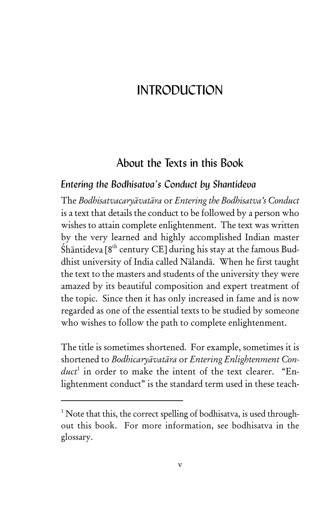## INTRODUCTION

## About the Texts in this Book

#### *Entering the Bodhisatva's Conduct by Shantideva*

The *Bodhisatvacaryāvatāra* or *Entering the Bodhisatva's Conduct* is a text that details the conduct to be followed by a person who wishes to attain complete enlightenment. The text was written by the very learned and highly accomplished Indian master Śhāntideva [8<sup>th</sup> century CE] during his stay at the famous Buddhist university of India called Nālandā. When he first taught the text to the masters and students of the university they were amazed by its beautiful composition and expert treatment of the topic. Since then it has only increased in fame and is now regarded as one of the essential texts to be studied by someone who wishes to follow the path to complete enlightenment.

The title is sometimes shortened. For example, sometimes it is shortened to *Bodhicaryāvatāra* or *Entering Enlightenment Conduct*<sup>1</sup> in order to make the intent of the text clearer. "Enlightenment conduct" is the standard term used in these teach-

 $1$  Note that this, the correct spelling of bodhisatva, is used throughout this book. For more information, see bodhisatva in the glossary.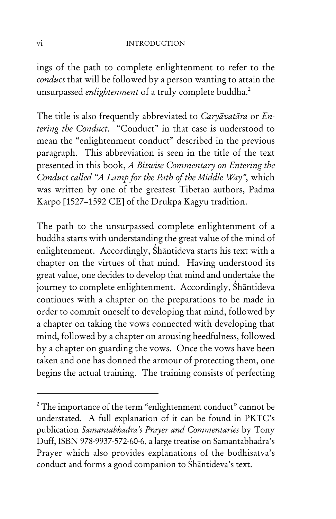ings of the path to complete enlightenment to refer to the *conduct* that will be followed by a person wanting to attain the unsurpassed *enlightenment* of a truly complete buddha.<sup>2</sup>

The title is also frequently abbreviated to *Caryāvatāra* or *Entering the Conduct*. "Conduct" in that case is understood to mean the "enlightenment conduct" described in the previous paragraph. This abbreviation is seen in the title of the text presented in this book, *A Bitwise Commentary on Entering the Conduct called "A Lamp for the Path of the Middle Way"*, which was written by one of the greatest Tibetan authors, Padma Karpo [1527–1592 CE] of the Drukpa Kagyu tradition.

The path to the unsurpassed complete enlightenment of a buddha starts with understanding the great value of the mind of enlightenment. Accordingly, Śhāntideva starts his text with a chapter on the virtues of that mind. Having understood its great value, one decides to develop that mind and undertake the journey to complete enlightenment. Accordingly, Śhāntideva continues with a chapter on the preparations to be made in order to commit oneself to developing that mind, followed by a chapter on taking the vows connected with developing that mind, followed by a chapter on arousing heedfulness, followed by a chapter on guarding the vows. Once the vows have been taken and one has donned the armour of protecting them, one begins the actual training. The training consists of perfecting

 $2^2$  The importance of the term "enlightenment conduct" cannot be understated. A full explanation of it can be found in PKTC's publication *Samantabhadra's Prayer and Commentaries* by Tony Duff, ISBN 978-9937-572-60-6, a large treatise on Samantabhadra's Prayer which also provides explanations of the bodhisatva's conduct and forms a good companion to Śhāntideva's text.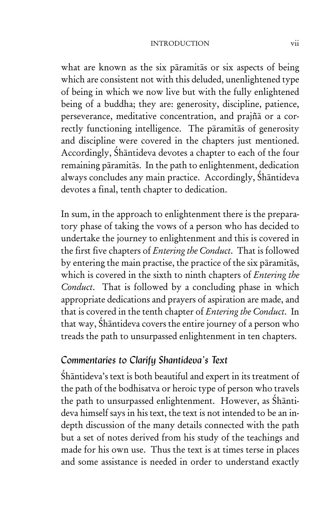#### INTRODUCTION vii

what are known as the six pāramitās or six aspects of being which are consistent not with this deluded, unenlightened type of being in which we now live but with the fully enlightened being of a buddha; they are: generosity, discipline, patience, perseverance, meditative concentration, and prajñā or a correctly functioning intelligence. The pāramitās of generosity and discipline were covered in the chapters just mentioned. Accordingly, Śhāntideva devotes a chapter to each of the four remaining pāramitās. In the path to enlightenment, dedication always concludes any main practice. Accordingly, Śhāntideva devotes a final, tenth chapter to dedication.

In sum, in the approach to enlightenment there is the preparatory phase of taking the vows of a person who has decided to undertake the journey to enlightenment and this is covered in the first five chapters of *Entering the Conduct*. That is followed by entering the main practise, the practice of the six pāramitās, which is covered in the sixth to ninth chapters of *Entering the Conduct*. That is followed by a concluding phase in which appropriate dedications and prayers of aspiration are made, and that is covered in the tenth chapter of *Entering the Conduct*. In that way, Śhāntideva covers the entire journey of a person who treads the path to unsurpassed enlightenment in ten chapters.

#### *Commentaries to Clarify Shantideva's Text*

Śhāntideva's text is both beautiful and expert in its treatment of the path of the bodhisatva or heroic type of person who travels the path to unsurpassed enlightenment. However, as Śhāntideva himself says in his text, the text is not intended to be an indepth discussion of the many details connected with the path but a set of notes derived from his study of the teachings and made for his own use. Thus the text is at times terse in places and some assistance is needed in order to understand exactly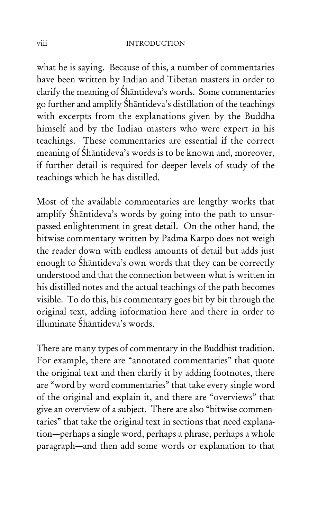#### viii INTRODUCTION

what he is saying. Because of this, a number of commentaries have been written by Indian and Tibetan masters in order to clarify the meaning of Śhāntideva's words. Some commentaries go further and amplify Śhāntideva's distillation of the teachings with excerpts from the explanations given by the Buddha himself and by the Indian masters who were expert in his teachings. These commentaries are essential if the correct meaning of Śhāntideva's words is to be known and, moreover, if further detail is required for deeper levels of study of the teachings which he has distilled.

Most of the available commentaries are lengthy works that amplify Śhāntideva's words by going into the path to unsurpassed enlightenment in great detail. On the other hand, the bitwise commentary written by Padma Karpo does not weigh the reader down with endless amounts of detail but adds just enough to Śhāntideva's own words that they can be correctly understood and that the connection between what is written in his distilled notes and the actual teachings of the path becomes visible. To do this, his commentary goes bit by bit through the original text, adding information here and there in order to illuminate Śhāntideva's words.

There are many types of commentary in the Buddhist tradition. For example, there are "annotated commentaries" that quote the original text and then clarify it by adding footnotes, there are "word by word commentaries" that take every single word of the original and explain it, and there are "overviews" that give an overview of a subject. There are also "bitwise commentaries" that take the original text in sections that need explanation—perhaps a single word, perhaps a phrase, perhaps a whole paragraph—and then add some words or explanation to that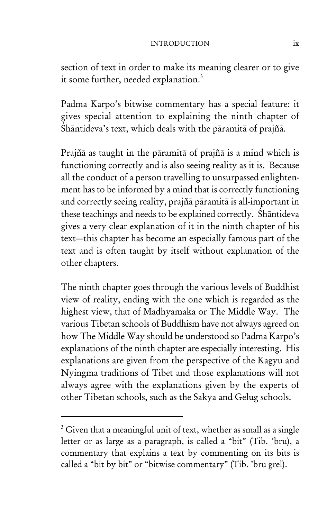#### INTRODUCTION ix

section of text in order to make its meaning clearer or to give it some further, needed explanation.<sup>3</sup>

Padma Karpo's bitwise commentary has a special feature: it gives special attention to explaining the ninth chapter of Śhāntideva's text, which deals with the pāramitā of prajñā.

Prajñā as taught in the pāramitā of prajñā is a mind which is functioning correctly and is also seeing reality as it is. Because all the conduct of a person travelling to unsurpassed enlightenment has to be informed by a mind that is correctly functioning and correctly seeing reality, prajñā pāramitā is all-important in these teachings and needs to be explained correctly. Śhāntideva gives a very clear explanation of it in the ninth chapter of his text—this chapter has become an especially famous part of the text and is often taught by itself without explanation of the other chapters.

The ninth chapter goes through the various levels of Buddhist view of reality, ending with the one which is regarded as the highest view, that of Madhyamaka or The Middle Way. The various Tibetan schools of Buddhism have not always agreed on how The Middle Way should be understood so Padma Karpo's explanations of the ninth chapter are especially interesting. His explanations are given from the perspective of the Kagyu and Nyingma traditions of Tibet and those explanations will not always agree with the explanations given by the experts of other Tibetan schools, such as the Sakya and Gelug schools.

 $3$  Given that a meaningful unit of text, whether as small as a single letter or as large as a paragraph, is called a "bit" (Tib. 'bru), a commentary that explains a text by commenting on its bits is called a "bit by bit" or "bitwise commentary" (Tib. 'bru grel).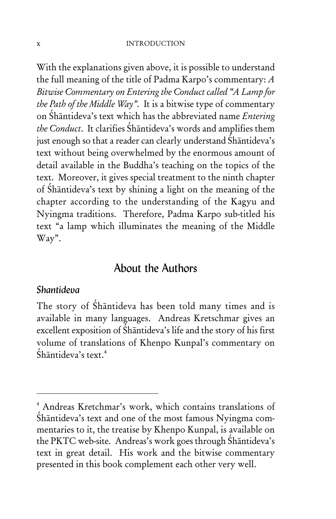With the explanations given above, it is possible to understand the full meaning of the title of Padma Karpo's commentary: *A Bitwise Commentary on Entering the Conduct called "A Lamp for the Path of the Middle Way"*. It is a bitwise type of commentary on Śhāntideva's text which has the abbreviated name *Entering the Conduct*. It clarifies Śhāntideva's words and amplifies them just enough so that a reader can clearly understand Śhāntideva's text without being overwhelmed by the enormous amount of detail available in the Buddha's teaching on the topics of the text. Moreover, it gives special treatment to the ninth chapter of Śhāntideva's text by shining a light on the meaning of the chapter according to the understanding of the Kagyu and Nyingma traditions. Therefore, Padma Karpo sub-titled his text "a lamp which illuminates the meaning of the Middle Way".

### About the Authors

#### *Shantideva*

The story of Śhāntideva has been told many times and is available in many languages. Andreas Kretschmar gives an excellent exposition of Śhāntideva's life and the story of his first volume of translations of Khenpo Kunpal's commentary on Śhāntideva's text.<sup>4</sup>

<sup>4</sup> Andreas Kretchmar's work, which contains translations of Śhāntideva's text and one of the most famous Nyingma commentaries to it, the treatise by Khenpo Kunpal, is available on the PKTC web-site. Andreas's work goes through Śhāntideva's text in great detail. His work and the bitwise commentary presented in this book complement each other very well.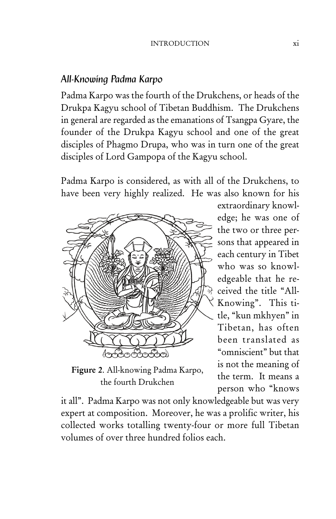#### *All-Knowing Padma Karpo*

Padma Karpo was the fourth of the Drukchens, or heads of the Drukpa Kagyu school of Tibetan Buddhism. The Drukchens in general are regarded as the emanations of Tsangpa Gyare, the founder of the Drukpa Kagyu school and one of the great disciples of Phagmo Drupa, who was in turn one of the great disciples of Lord Gampopa of the Kagyu school.

Padma Karpo is considered, as with all of the Drukchens, to have been very highly realized. He was also known for his



Figure 2. All-knowing Padma Karpo, the fourth Drukchen

extraordinary knowledge; he was one of the two or three persons that appeared in each century in Tibet who was so knowledgeable that he received the title "All-Knowing". This title, "kun mkhyen" in Tibetan, has often been translated as "omniscient" but that is not the meaning of the term. It means a person who "knows

it all". Padma Karpo was not only knowledgeable but was very expert at composition. Moreover, he was a prolific writer, his collected works totalling twenty-four or more full Tibetan volumes of over three hundred folios each.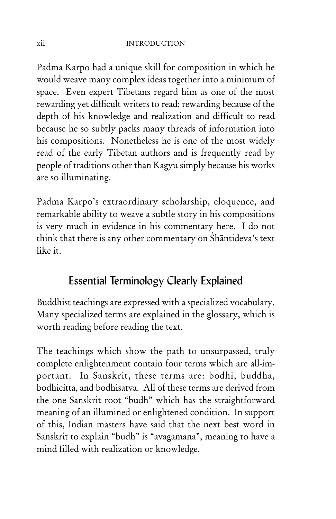Padma Karpo had a unique skill for composition in which he would weave many complex ideas together into a minimum of space. Even expert Tibetans regard him as one of the most rewarding yet difficult writers to read; rewarding because of the depth of his knowledge and realization and difficult to read because he so subtly packs many threads of information into his compositions. Nonetheless he is one of the most widely read of the early Tibetan authors and is frequently read by people of traditions other than Kagyu simply because his works are so illuminating.

Padma Karpo's extraordinary scholarship, eloquence, and remarkable ability to weave a subtle story in his compositions is very much in evidence in his commentary here. I do not think that there is any other commentary on Śhāntideva's text like it.

## Essential Terminology Clearly Explained

Buddhist teachings are expressed with a specialized vocabulary. Many specialized terms are explained in the glossary, which is worth reading before reading the text.

The teachings which show the path to unsurpassed, truly complete enlightenment contain four terms which are all-important. In Sanskrit, these terms are: bodhi, buddha, bodhicitta, and bodhisatva. All of these terms are derived from the one Sanskrit root "budh" which has the straightforward meaning of an illumined or enlightened condition. In support of this, Indian masters have said that the next best word in Sanskrit to explain "budh" is "avagamana", meaning to have a mind filled with realization or knowledge.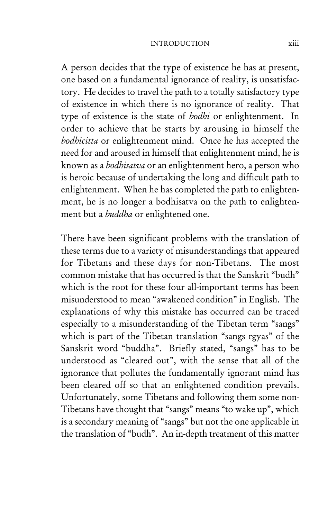#### INTRODUCTION xiii

A person decides that the type of existence he has at present, one based on a fundamental ignorance of reality, is unsatisfactory. He decides to travel the path to a totally satisfactory type of existence in which there is no ignorance of reality. That type of existence is the state of *bodhi* or enlightenment. In order to achieve that he starts by arousing in himself the *bodhicitta* or enlightenment mind. Once he has accepted the need for and aroused in himself that enlightenment mind, he is known as a *bodhisatva* or an enlightenment hero, a person who is heroic because of undertaking the long and difficult path to enlightenment. When he has completed the path to enlightenment, he is no longer a bodhisatva on the path to enlightenment but a *buddha* or enlightened one.

There have been significant problems with the translation of these terms due to a variety of misunderstandings that appeared for Tibetans and these days for non-Tibetans. The most common mistake that has occurred is that the Sanskrit "budh" which is the root for these four all-important terms has been misunderstood to mean "awakened condition" in English. The explanations of why this mistake has occurred can be traced especially to a misunderstanding of the Tibetan term "sangs" which is part of the Tibetan translation "sangs rgyas" of the Sanskrit word "buddha". Briefly stated, "sangs" has to be understood as "cleared out", with the sense that all of the ignorance that pollutes the fundamentally ignorant mind has been cleared off so that an enlightened condition prevails. Unfortunately, some Tibetans and following them some non-Tibetans have thought that "sangs" means "to wake up", which is a secondary meaning of "sangs" but not the one applicable in the translation of "budh". An in-depth treatment of this matter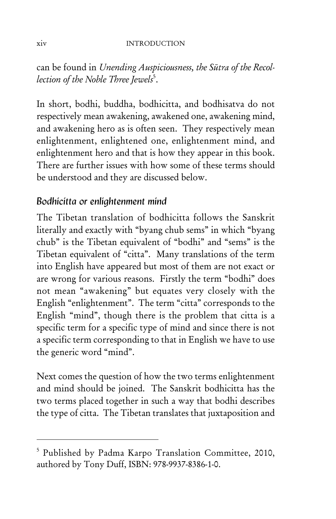can be found in *Unending Auspiciousness, the Sūtra of the Recol*lection of the Noble Three Jewels<sup>5</sup>.

In short, bodhi, buddha, bodhicitta, and bodhisatva do not respectively mean awakening, awakened one, awakening mind, and awakening hero as is often seen. They respectively mean enlightenment, enlightened one, enlightenment mind, and enlightenment hero and that is how they appear in this book. There are further issues with how some of these terms should be understood and they are discussed below.

### *Bodhicitta or enlightenment mind*

The Tibetan translation of bodhicitta follows the Sanskrit literally and exactly with "byang chub sems" in which "byang chub" is the Tibetan equivalent of "bodhi" and "sems" is the Tibetan equivalent of "citta". Many translations of the term into English have appeared but most of them are not exact or are wrong for various reasons. Firstly the term "bodhi" does not mean "awakening" but equates very closely with the English "enlightenment". The term "citta" corresponds to the English "mind", though there is the problem that citta is a specific term for a specific type of mind and since there is not a specific term corresponding to that in English we have to use the generic word "mind".

Next comes the question of how the two terms enlightenment and mind should be joined. The Sanskrit bodhicitta has the two terms placed together in such a way that bodhi describes the type of citta. The Tibetan translates that juxtaposition and

<sup>5</sup> Published by Padma Karpo Translation Committee, 2010, authored by Tony Duff, ISBN: 978-9937-8386-1-0.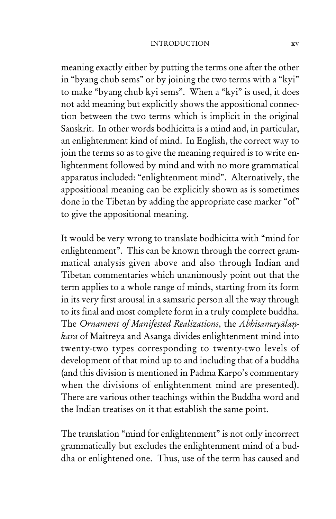#### INTRODUCTION xv

meaning exactly either by putting the terms one after the other in "byang chub sems" or by joining the two terms with a "kyi" to make "byang chub kyi sems". When a "kyi" is used, it does not add meaning but explicitly shows the appositional connection between the two terms which is implicit in the original Sanskrit. In other words bodhicitta is a mind and, in particular, an enlightenment kind of mind. In English, the correct way to join the terms so as to give the meaning required is to write enlightenment followed by mind and with no more grammatical apparatus included: "enlightenment mind". Alternatively, the appositional meaning can be explicitly shown as is sometimes done in the Tibetan by adding the appropriate case marker "of" to give the appositional meaning.

It would be very wrong to translate bodhicitta with "mind for enlightenment". This can be known through the correct grammatical analysis given above and also through Indian and Tibetan commentaries which unanimously point out that the term applies to a whole range of minds, starting from its form in its very first arousal in a samsaric person all the way through to its final and most complete form in a truly complete buddha. The *Ornament of Manifested Realizations*, the *Abhisamayālaṇkara* of Maitreya and Asanga divides enlightenment mind into twenty-two types corresponding to twenty-two levels of development of that mind up to and including that of a buddha (and this division is mentioned in Padma Karpo's commentary when the divisions of enlightenment mind are presented). There are various other teachings within the Buddha word and the Indian treatises on it that establish the same point.

The translation "mind for enlightenment" is not only incorrect grammatically but excludes the enlightenment mind of a buddha or enlightened one. Thus, use of the term has caused and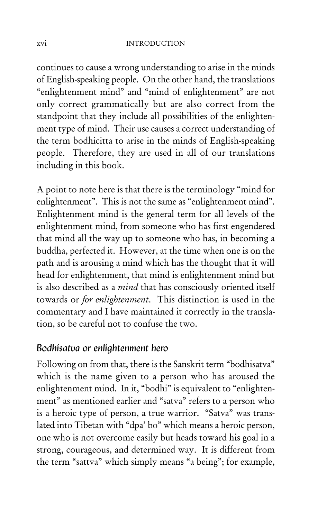continues to cause a wrong understanding to arise in the minds of English-speaking people. On the other hand, the translations "enlightenment mind" and "mind of enlightenment" are not only correct grammatically but are also correct from the standpoint that they include all possibilities of the enlightenment type of mind. Their use causes a correct understanding of the term bodhicitta to arise in the minds of English-speaking people. Therefore, they are used in all of our translations including in this book.

A point to note here is that there is the terminology "mind for enlightenment". This is not the same as "enlightenment mind". Enlightenment mind is the general term for all levels of the enlightenment mind, from someone who has first engendered that mind all the way up to someone who has, in becoming a buddha, perfected it. However, at the time when one is on the path and is arousing a mind which has the thought that it will head for enlightenment, that mind is enlightenment mind but is also described as a *mind* that has consciously oriented itself towards or *for enlightenment*. This distinction is used in the commentary and I have maintained it correctly in the translation, so be careful not to confuse the two.

#### *Bodhisatva or enlightenment hero*

Following on from that, there is the Sanskrit term "bodhisatva" which is the name given to a person who has aroused the enlightenment mind. In it, "bodhi" is equivalent to "enlightenment" as mentioned earlier and "satva" refers to a person who is a heroic type of person, a true warrior. "Satva" was translated into Tibetan with "dpa' bo" which means a heroic person, one who is not overcome easily but heads toward his goal in a strong, courageous, and determined way. It is different from the term "sattva" which simply means "a being"; for example,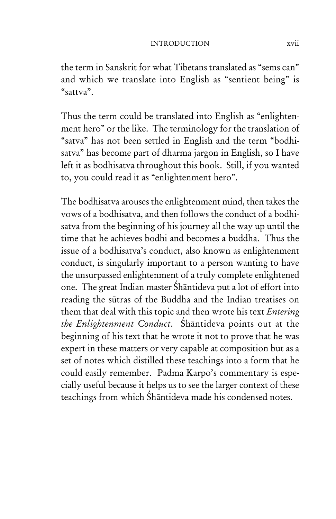the term in Sanskrit for what Tibetans translated as "sems can" and which we translate into English as "sentient being" is "sattva".

Thus the term could be translated into English as "enlightenment hero" or the like. The terminology for the translation of "satva" has not been settled in English and the term "bodhisatva" has become part of dharma jargon in English, so I have left it as bodhisatva throughout this book. Still, if you wanted to, you could read it as "enlightenment hero".

The bodhisatva arouses the enlightenment mind, then takes the vows of a bodhisatva, and then follows the conduct of a bodhisatva from the beginning of his journey all the way up until the time that he achieves bodhi and becomes a buddha. Thus the issue of a bodhisatva's conduct, also known as enlightenment conduct, is singularly important to a person wanting to have the unsurpassed enlightenment of a truly complete enlightened one. The great Indian master Śhāntideva put a lot of effort into reading the sūtras of the Buddha and the Indian treatises on them that deal with this topic and then wrote his text *Entering the Enlightenment Conduct*. Śhāntideva points out at the beginning of his text that he wrote it not to prove that he was expert in these matters or very capable at composition but as a set of notes which distilled these teachings into a form that he could easily remember. Padma Karpo's commentary is especially useful because it helps us to see the larger context of these teachings from which Śhāntideva made his condensed notes.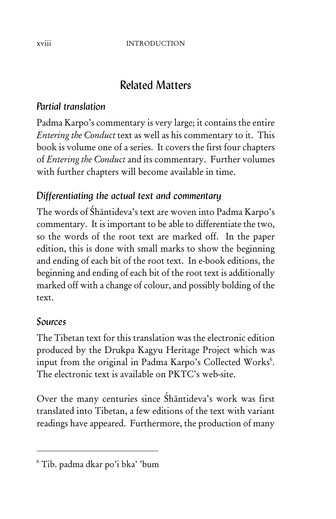## Related Matters

## *Partial translation*

Padma Karpo's commentary is very large; it contains the entire *Entering the Conduct* text as well as his commentary to it. This book is volume one of a series. It covers the first four chapters of *Entering the Conduct* and its commentary. Further volumes with further chapters will become available in time.

## *Differentiating the actual text and commentary*

The words of Śhāntideva's text are woven into Padma Karpo's commentary. It is important to be able to differentiate the two, so the words of the root text are marked off. In the paper edition, this is done with small marks to show the beginning and ending of each bit of the root text. In e-book editions, the beginning and ending of each bit of the root text is additionally marked off with a change of colour, and possibly bolding of the text.

## *Sources*

The Tibetan text for this translation was the electronic edition produced by the Drukpa Kagyu Heritage Project which was input from the original in Padma Karpo's Collected Works<sup>6</sup>. The electronic text is available on PKTC's web-site.

Over the many centuries since Śhāntideva's work was first translated into Tibetan, a few editions of the text with variant readings have appeared. Furthermore, the production of many

<sup>6</sup> Tib. padma dkar po'i bka' 'bum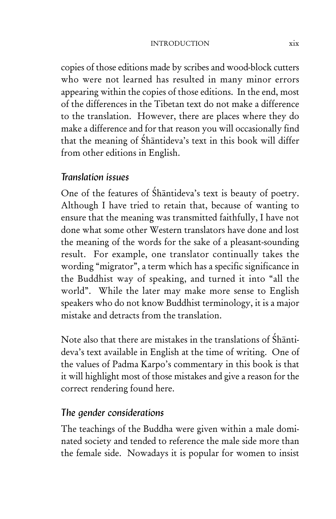#### INTRODUCTION xix

copies of those editions made by scribes and wood-block cutters who were not learned has resulted in many minor errors appearing within the copies of those editions. In the end, most of the differences in the Tibetan text do not make a difference to the translation. However, there are places where they do make a difference and for that reason you will occasionally find that the meaning of Śhāntideva's text in this book will differ from other editions in English.

#### *Translation issues*

One of the features of Śhāntideva's text is beauty of poetry. Although I have tried to retain that, because of wanting to ensure that the meaning was transmitted faithfully, I have not done what some other Western translators have done and lost the meaning of the words for the sake of a pleasant-sounding result. For example, one translator continually takes the wording "migrator", a term which has a specific significance in the Buddhist way of speaking, and turned it into "all the world". While the later may make more sense to English speakers who do not know Buddhist terminology, it is a major mistake and detracts from the translation.

Note also that there are mistakes in the translations of Śhāntideva's text available in English at the time of writing. One of the values of Padma Karpo's commentary in this book is that it will highlight most of those mistakes and give a reason for the correct rendering found here.

#### *The gender considerations*

The teachings of the Buddha were given within a male dominated society and tended to reference the male side more than the female side. Nowadays it is popular for women to insist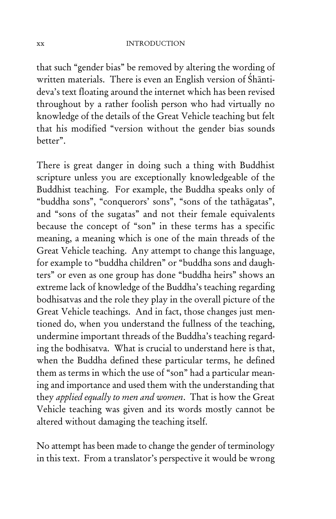#### xx INTRODUCTION

that such "gender bias" be removed by altering the wording of written materials. There is even an English version of Śhāntideva's text floating around the internet which has been revised throughout by a rather foolish person who had virtually no knowledge of the details of the Great Vehicle teaching but felt that his modified "version without the gender bias sounds better".

There is great danger in doing such a thing with Buddhist scripture unless you are exceptionally knowledgeable of the Buddhist teaching. For example, the Buddha speaks only of "buddha sons", "conquerors' sons", "sons of the tathāgatas", and "sons of the sugatas" and not their female equivalents because the concept of "son" in these terms has a specific meaning, a meaning which is one of the main threads of the Great Vehicle teaching. Any attempt to change this language, for example to "buddha children" or "buddha sons and daughters" or even as one group has done "buddha heirs" shows an extreme lack of knowledge of the Buddha's teaching regarding bodhisatvas and the role they play in the overall picture of the Great Vehicle teachings. And in fact, those changes just mentioned do, when you understand the fullness of the teaching, undermine important threads of the Buddha's teaching regarding the bodhisatva. What is crucial to understand here is that, when the Buddha defined these particular terms, he defined them as terms in which the use of "son" had a particular meaning and importance and used them with the understanding that they *applied equally to men and women*. That is how the Great Vehicle teaching was given and its words mostly cannot be altered without damaging the teaching itself.

No attempt has been made to change the gender of terminology in this text. From a translator's perspective it would be wrong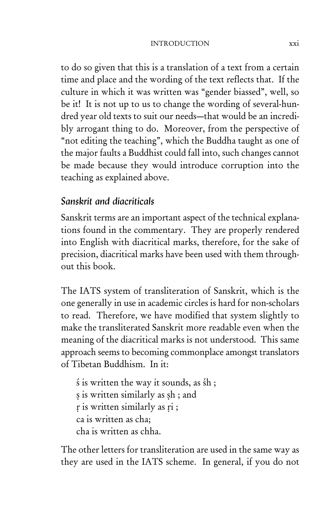#### INTRODUCTION xxi

to do so given that this is a translation of a text from a certain time and place and the wording of the text reflects that. If the culture in which it was written was "gender biassed", well, so be it! It is not up to us to change the wording of several-hundred year old texts to suit our needs—that would be an incredibly arrogant thing to do. Moreover, from the perspective of "not editing the teaching", which the Buddha taught as one of the major faults a Buddhist could fall into, such changes cannot be made because they would introduce corruption into the teaching as explained above.

#### *Sanskrit and diacriticals*

Sanskrit terms are an important aspect of the technical explanations found in the commentary. They are properly rendered into English with diacritical marks, therefore, for the sake of precision, diacritical marks have been used with them throughout this book.

The IATS system of transliteration of Sanskrit, which is the one generally in use in academic circles is hard for non-scholars to read. Therefore, we have modified that system slightly to make the transliterated Sanskrit more readable even when the meaning of the diacritical marks is not understood. This same approach seems to becoming commonplace amongst translators of Tibetan Buddhism. In it:

ś is written the way it sounds, as śh ; s is written similarly as sh; and r is written similarly as ri; ca is written as cha; cha is written as chha.

The other letters for transliteration are used in the same way as they are used in the IATS scheme. In general, if you do not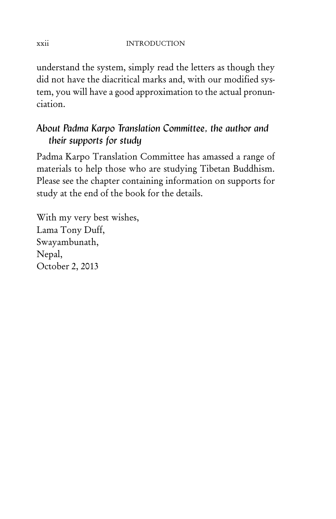understand the system, simply read the letters as though they did not have the diacritical marks and, with our modified system, you will have a good approximation to the actual pronunciation.

## *About Padma Karpo Translation Committee, the author and their supports for study*

Padma Karpo Translation Committee has amassed a range of materials to help those who are studying Tibetan Buddhism. Please see the chapter containing information on supports for study at the end of the book for the details.

With my very best wishes, Lama Tony Duff, Swayambunath, Nepal, October 2, 2013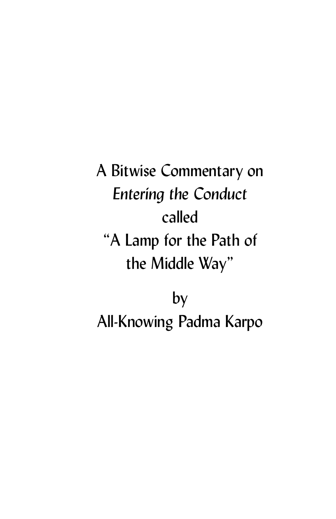A Bitwise Commentary on *Entering the Conduct* called "A Lamp for the Path of the Middle Way"

by All-Knowing Padma Karpo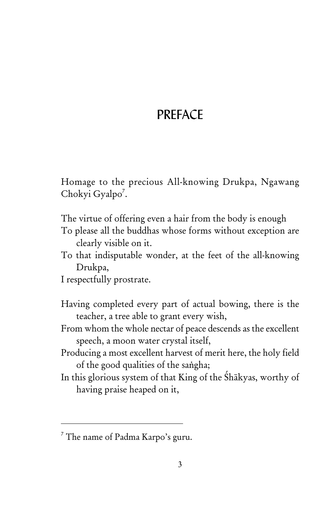## **PRFFACE**

Homage to the precious All-knowing Drukpa, Ngawang Chokyi Gyalpo<sup>7</sup>.

The virtue of offering even a hair from the body is enough

To please all the buddhas whose forms without exception are clearly visible on it.

To that indisputable wonder, at the feet of the all-knowing Drukpa,

I respectfully prostrate.

- Having completed every part of actual bowing, there is the teacher, a tree able to grant every wish,
- From whom the whole nectar of peace descends as the excellent speech, a moon water crystal itself,
- Producing a most excellent harvest of merit here, the holy field of the good qualities of the saṅgha;
- In this glorious system of that King of the Śhākyas, worthy of having praise heaped on it,

<sup>&</sup>lt;sup>7</sup> The name of Padma Karpo's guru.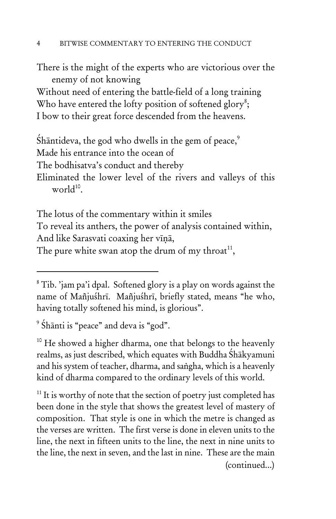There is the might of the experts who are victorious over the enemy of not knowing

Without need of entering the battle-field of a long training Who have entered the lofty position of softened glory<sup>8</sup>; I bow to their great force descended from the heavens.

Shāntideva, the god who dwells in the gem of peace, $\degree$ Made his entrance into the ocean of The bodhisatva's conduct and thereby Eliminated the lower level of the rivers and valleys of this world $10^{\circ}$ .

The lotus of the commentary within it smiles To reveal its anthers, the power of analysis contained within, And like Sarasvati coaxing her vīṇā, The pure white swan atop the drum of my throat<sup>11</sup>,

<sup>9</sup> Śhānti is "peace" and deva is "god".

<sup>10</sup> He showed a higher dharma, one that belongs to the heavenly realms, as just described, which equates with Buddha Śhākyamuni and his system of teacher, dharma, and saṅgha, which is a heavenly kind of dharma compared to the ordinary levels of this world.

 $11$  It is worthy of note that the section of poetry just completed has been done in the style that shows the greatest level of mastery of composition. That style is one in which the metre is changed as the verses are written. The first verse is done in eleven units to the line, the next in fifteen units to the line, the next in nine units to the line, the next in seven, and the last in nine. These are the main (continued...)

 $8$  Tib. 'jam pa'i dpal. Softened glory is a play on words against the name of Mañjuśhrī. Mañjuśhrī, briefly stated, means "he who, having totally softened his mind, is glorious".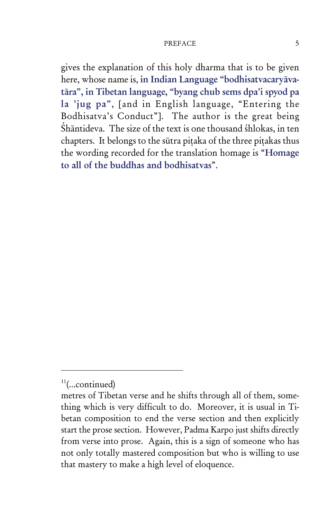gives the explanation of this holy dharma that is to be given here, whose name is, in Indian Language "bodhisatvacaryāvatāra", in Tibetan language, "byang chub sems dpa'i spyod pa la 'jug pa", [and in English language, "Entering the Bodhisatva's Conduct"]. The author is the great being Śhāntideva. The size of the text is one thousand śhlokas, in ten chapters. It belongs to the sūtra piṭaka of the three piṭakas thus the wording recorded for the translation homage is "Homage to all of the buddhas and bodhisatvas".

 $11$ (...continued)

metres of Tibetan verse and he shifts through all of them, something which is very difficult to do. Moreover, it is usual in Tibetan composition to end the verse section and then explicitly start the prose section. However, Padma Karpo just shifts directly from verse into prose. Again, this is a sign of someone who has not only totally mastered composition but who is willing to use that mastery to make a high level of eloquence.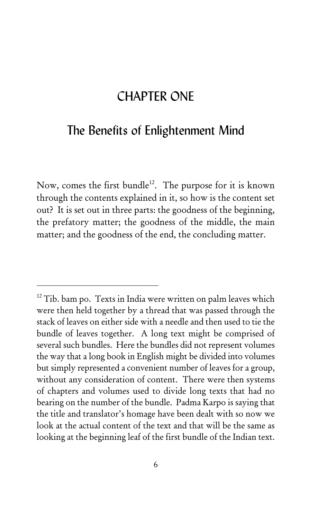## CHAPTER ONE

## The Benefits of Enlightenment Mind

Now, comes the first bundle<sup>12</sup>. The purpose for it is known through the contents explained in it, so how is the content set out? It is set out in three parts: the goodness of the beginning, the prefatory matter; the goodness of the middle, the main matter; and the goodness of the end, the concluding matter.

<sup>&</sup>lt;sup>12</sup> Tib. bam po. Texts in India were written on palm leaves which were then held together by a thread that was passed through the stack of leaves on either side with a needle and then used to tie the bundle of leaves together. A long text might be comprised of several such bundles. Here the bundles did not represent volumes the way that a long book in English might be divided into volumes but simply represented a convenient number of leaves for a group, without any consideration of content. There were then systems of chapters and volumes used to divide long texts that had no bearing on the number of the bundle. Padma Karpo is saying that the title and translator's homage have been dealt with so now we look at the actual content of the text and that will be the same as looking at the beginning leaf of the first bundle of the Indian text.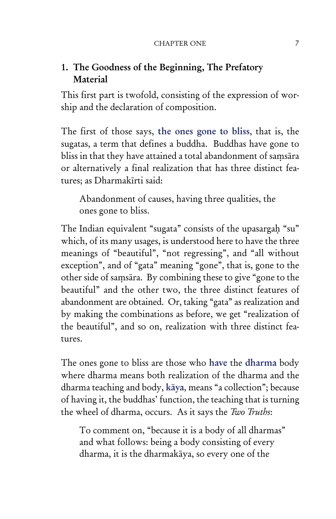## 1. The Goodness of the Beginning, The Prefatory Material

This first part is twofold, consisting of the expression of worship and the declaration of composition.

The first of those says, the ones gone to bliss, that is, the sugatas, a term that defines a buddha. Buddhas have gone to bliss in that they have attained a total abandonment of saṃsāra or alternatively a final realization that has three distinct features; as Dharmakīrti said:

Abandonment of causes, having three qualities, the ones gone to bliss.

The Indian equivalent "sugata" consists of the upasargaḥ "su" which, of its many usages, is understood here to have the three meanings of "beautiful", "not regressing", and "all without exception", and of "gata" meaning "gone", that is, gone to the other side of saṃsāra. By combining these to give "gone to the beautiful" and the other two, the three distinct features of abandonment are obtained. Or, taking "gata" as realization and by making the combinations as before, we get "realization of the beautiful", and so on, realization with three distinct features.

The ones gone to bliss are those who have the dharma body where dharma means both realization of the dharma and the dharma teaching and body, kāya, means "a collection"; because of having it, the buddhas' function, the teaching that is turning the wheel of dharma, occurs. As it says the *Two Truths*:

To comment on, "because it is a body of all dharmas" and what follows: being a body consisting of every dharma, it is the dharmakāya, so every one of the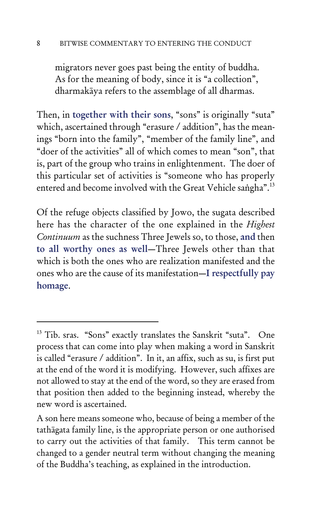#### 8 BITWISE COMMENTARY TO ENTERING THE CONDUCT

migrators never goes past being the entity of buddha. As for the meaning of body, since it is "a collection", dharmakāya refers to the assemblage of all dharmas.

Then, in together with their sons, "sons" is originally "suta" which, ascertained through "erasure / addition", has the meanings "born into the family", "member of the family line", and "doer of the activities" all of which comes to mean "son", that is, part of the group who trains in enlightenment. The doer of this particular set of activities is "someone who has properly entered and become involved with the Great Vehicle saṅgha".<sup>13</sup>

Of the refuge objects classified by Jowo, the sugata described here has the character of the one explained in the *Highest Continuum* as the suchness Three Jewels so, to those, and then to all worthy ones as well—Three Jewels other than that which is both the ones who are realization manifested and the ones who are the cause of its manifestation—I respectfully pay homage.

<sup>&</sup>lt;sup>13</sup> Tib. sras. "Sons" exactly translates the Sanskrit "suta". One process that can come into play when making a word in Sanskrit is called "erasure / addition". In it, an affix, such as su, is first put at the end of the word it is modifying. However, such affixes are not allowed to stay at the end of the word, so they are erased from that position then added to the beginning instead, whereby the new word is ascertained.

A son here means someone who, because of being a member of the tathāgata family line, is the appropriate person or one authorised to carry out the activities of that family. This term cannot be changed to a gender neutral term without changing the meaning of the Buddha's teaching, as explained in the introduction.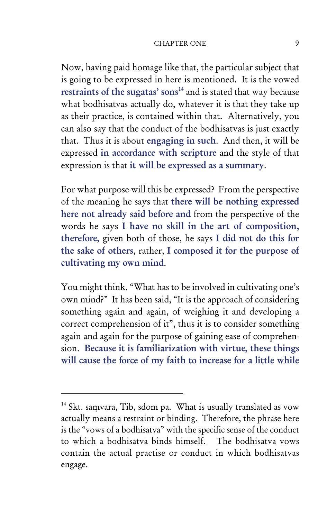#### CHAPTER ONE 9

Now, having paid homage like that, the particular subject that is going to be expressed in here is mentioned. It is the vowed restraints of the sugatas' sons $14$  and is stated that way because what bodhisatvas actually do, whatever it is that they take up as their practice, is contained within that. Alternatively, you can also say that the conduct of the bodhisatvas is just exactly that. Thus it is about engaging in such. And then, it will be expressed in accordance with scripture and the style of that expression is that it will be expressed as a summary.

For what purpose will this be expressed? From the perspective of the meaning he says that there will be nothing expressed here not already said before and from the perspective of the words he says I have no skill in the art of composition, therefore, given both of those, he says I did not do this for the sake of others, rather, I composed it for the purpose of cultivating my own mind.

You might think, "What has to be involved in cultivating one's own mind?" It has been said, "It is the approach of considering something again and again, of weighing it and developing a correct comprehension of it", thus it is to consider something again and again for the purpose of gaining ease of comprehension. Because it is familiarization with virtue, these things will cause the force of my faith to increase for a little while

<sup>&</sup>lt;sup>14</sup> Skt. saṃvara, Tib, sdom pa. What is usually translated as vow actually means a restraint or binding. Therefore, the phrase here is the "vows of a bodhisatva" with the specific sense of the conduct to which a bodhisatva binds himself. The bodhisatva vows contain the actual practise or conduct in which bodhisatvas engage.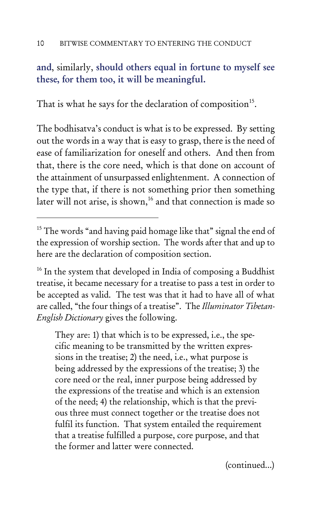### and, similarly, should others equal in fortune to myself see these, for them too, it will be meaningful.

That is what he says for the declaration of composition<sup>15</sup>.

The bodhisatva's conduct is what is to be expressed. By setting out the words in a way that is easy to grasp, there is the need of ease of familiarization for oneself and others. And then from that, there is the core need, which is that done on account of the attainment of unsurpassed enlightenment. A connection of the type that, if there is not something prior then something later will not arise, is shown,<sup>16</sup> and that connection is made so

<sup>16</sup> In the system that developed in India of composing a Buddhist treatise, it became necessary for a treatise to pass a test in order to be accepted as valid. The test was that it had to have all of what are called, "the four things of a treatise". The *Illuminator Tibetan-English Dictionary* gives the following.

They are: 1) that which is to be expressed, i.e., the specific meaning to be transmitted by the written expressions in the treatise; 2) the need, i.e., what purpose is being addressed by the expressions of the treatise; 3) the core need or the real, inner purpose being addressed by the expressions of the treatise and which is an extension of the need; 4) the relationship, which is that the previous three must connect together or the treatise does not fulfil its function. That system entailed the requirement that a treatise fulfilled a purpose, core purpose, and that the former and latter were connected.

(continued...)

<sup>&</sup>lt;sup>15</sup> The words "and having paid homage like that" signal the end of the expression of worship section. The words after that and up to here are the declaration of composition section.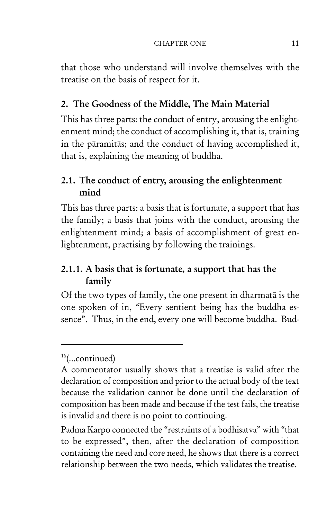that those who understand will involve themselves with the treatise on the basis of respect for it.

### 2. The Goodness of the Middle, The Main Material

This has three parts: the conduct of entry, arousing the enlightenment mind; the conduct of accomplishing it, that is, training in the pāramitās; and the conduct of having accomplished it, that is, explaining the meaning of buddha.

## 2.1. The conduct of entry, arousing the enlightenment mind

This has three parts: a basis that is fortunate, a support that has the family; a basis that joins with the conduct, arousing the enlightenment mind; a basis of accomplishment of great enlightenment, practising by following the trainings.

## 2.1.1. A basis that is fortunate, a support that has the family

Of the two types of family, the one present in dharmatā is the one spoken of in, "Every sentient being has the buddha essence". Thus, in the end, every one will become buddha. Bud-

 $16$ (...continued)

A commentator usually shows that a treatise is valid after the declaration of composition and prior to the actual body of the text because the validation cannot be done until the declaration of composition has been made and because if the test fails, the treatise is invalid and there is no point to continuing.

Padma Karpo connected the "restraints of a bodhisatva" with "that to be expressed", then, after the declaration of composition containing the need and core need, he shows that there is a correct relationship between the two needs, which validates the treatise.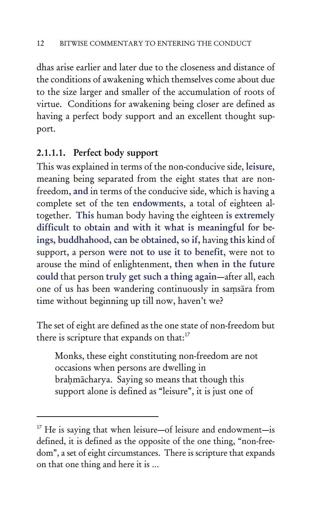dhas arise earlier and later due to the closeness and distance of the conditions of awakening which themselves come about due to the size larger and smaller of the accumulation of roots of virtue. Conditions for awakening being closer are defined as having a perfect body support and an excellent thought support.

### 2.1.1.1. Perfect body support

This was explained in terms of the non-conducive side, leisure, meaning being separated from the eight states that are nonfreedom, and in terms of the conducive side, which is having a complete set of the ten endowments, a total of eighteen altogether. This human body having the eighteen is extremely difficult to obtain and with it what is meaningful for beings, buddhahood, can be obtained, so if, having this kind of support, a person were not to use it to benefit, were not to arouse the mind of enlightenment, then when in the future could that person truly get such a thing again—after all, each one of us has been wandering continuously in saṃsāra from time without beginning up till now, haven't we?

The set of eight are defined as the one state of non-freedom but there is scripture that expands on that: $17$ 

Monks, these eight constituting non-freedom are not occasions when persons are dwelling in braḥmācharya. Saying so means that though this support alone is defined as "leisure", it is just one of

 $17$  He is saying that when leisure—of leisure and endowment—is defined, it is defined as the opposite of the one thing, "non-freedom", a set of eight circumstances. There is scripture that expands on that one thing and here it is …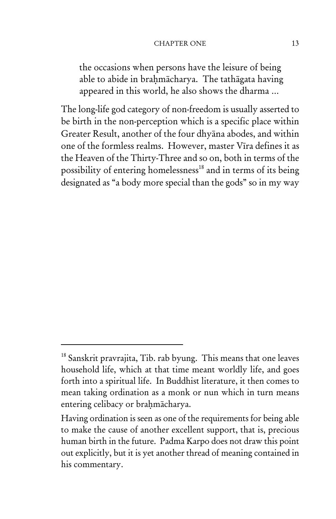#### CHAPTER ONE 13

the occasions when persons have the leisure of being able to abide in brahmācharya. The tathāgata having appeared in this world, he also shows the dharma …

The long-life god category of non-freedom is usually asserted to be birth in the non-perception which is a specific place within Greater Result, another of the four dhyāna abodes, and within one of the formless realms. However, master Vīra defines it as the Heaven of the Thirty-Three and so on, both in terms of the possibility of entering homelessness<sup>18</sup> and in terms of its being designated as "a body more special than the gods" so in my way

 $18$  Sanskrit pravrajita, Tib. rab byung. This means that one leaves household life, which at that time meant worldly life, and goes forth into a spiritual life. In Buddhist literature, it then comes to mean taking ordination as a monk or nun which in turn means entering celibacy or braḥmācharya.

Having ordination is seen as one of the requirements for being able to make the cause of another excellent support, that is, precious human birth in the future. Padma Karpo does not draw this point out explicitly, but it is yet another thread of meaning contained in his commentary.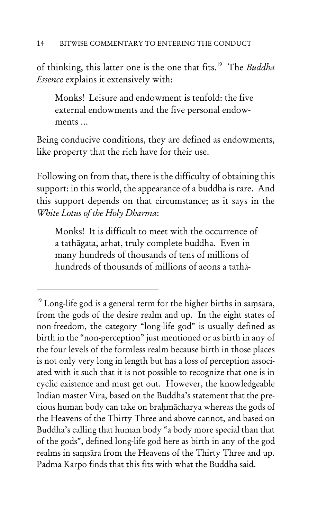of thinking, this latter one is the one that fits.19 The *Buddha Essence* explains it extensively with:

Monks! Leisure and endowment is tenfold: the five external endowments and the five personal endowments …

Being conducive conditions, they are defined as endowments, like property that the rich have for their use.

Following on from that, there is the difficulty of obtaining this support: in this world, the appearance of a buddha is rare. And this support depends on that circumstance; as it says in the *White Lotus of the Holy Dharma*:

Monks! It is difficult to meet with the occurrence of a tathāgata, arhat, truly complete buddha. Even in many hundreds of thousands of tens of millions of hundreds of thousands of millions of aeons a tathā-

<sup>&</sup>lt;sup>19</sup> Long-life god is a general term for the higher births in saṃsāra, from the gods of the desire realm and up. In the eight states of non-freedom, the category "long-life god" is usually defined as birth in the "non-perception" just mentioned or as birth in any of the four levels of the formless realm because birth in those places is not only very long in length but has a loss of perception associated with it such that it is not possible to recognize that one is in cyclic existence and must get out. However, the knowledgeable Indian master Vīra, based on the Buddha's statement that the precious human body can take on braḥmācharya whereas the gods of the Heavens of the Thirty Three and above cannot, and based on Buddha's calling that human body "a body more special than that of the gods", defined long-life god here as birth in any of the god realms in saṃsāra from the Heavens of the Thirty Three and up. Padma Karpo finds that this fits with what the Buddha said.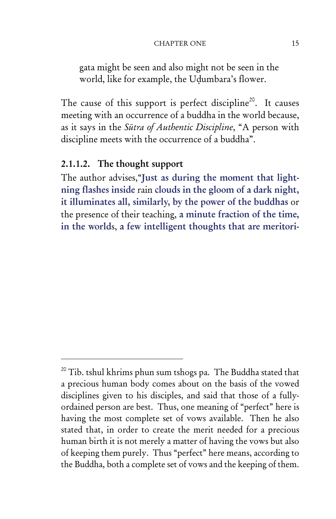#### CHAPTER ONE 15

gata might be seen and also might not be seen in the world, like for example, the Uḍumbara's flower.

The cause of this support is perfect discipline<sup>20</sup>. It causes meeting with an occurrence of a buddha in the world because, as it says in the *Sūtra of Authentic Discipline*, "A person with discipline meets with the occurrence of a buddha".

#### 2.1.1.2. The thought support

The author advises,"Just as during the moment that lightning flashes inside rain clouds in the gloom of a dark night, it illuminates all, similarly, by the power of the buddhas or the presence of their teaching, a minute fraction of the time, in the worlds, a few intelligent thoughts that are meritori-

<sup>&</sup>lt;sup>20</sup> Tib. tshul khrims phun sum tshogs pa. The Buddha stated that a precious human body comes about on the basis of the vowed disciplines given to his disciples, and said that those of a fullyordained person are best. Thus, one meaning of "perfect" here is having the most complete set of vows available. Then he also stated that, in order to create the merit needed for a precious human birth it is not merely a matter of having the vows but also of keeping them purely. Thus "perfect" here means, according to the Buddha, both a complete set of vows and the keeping of them.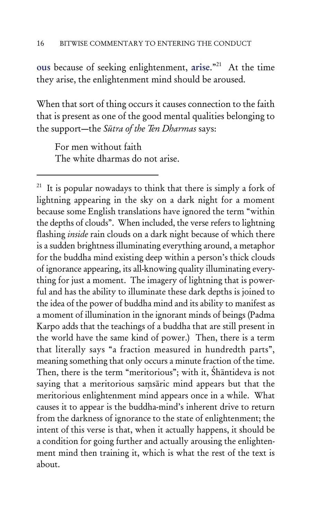ous because of seeking enlightenment, arise."<sup>21</sup> At the time they arise, the enlightenment mind should be aroused.

When that sort of thing occurs it causes connection to the faith that is present as one of the good mental qualities belonging to the support—the *Sūtra of the Ten Dharmas* says:

For men without faith The white dharmas do not arise.

<sup>21</sup> It is popular nowadays to think that there is simply a fork of lightning appearing in the sky on a dark night for a moment because some English translations have ignored the term "within the depths of clouds". When included, the verse refers to lightning flashing *inside* rain clouds on a dark night because of which there is a sudden brightness illuminating everything around, a metaphor for the buddha mind existing deep within a person's thick clouds of ignorance appearing, its all-knowing quality illuminating everything for just a moment. The imagery of lightning that is powerful and has the ability to illuminate these dark depths is joined to the idea of the power of buddha mind and its ability to manifest as a moment of illumination in the ignorant minds of beings (Padma Karpo adds that the teachings of a buddha that are still present in the world have the same kind of power.) Then, there is a term that literally says "a fraction measured in hundredth parts", meaning something that only occurs a minute fraction of the time. Then, there is the term "meritorious"; with it, Śhāntideva is not saying that a meritorious saṃsāric mind appears but that the meritorious enlightenment mind appears once in a while. What causes it to appear is the buddha-mind's inherent drive to return from the darkness of ignorance to the state of enlightenment; the intent of this verse is that, when it actually happens, it should be a condition for going further and actually arousing the enlightenment mind then training it, which is what the rest of the text is about.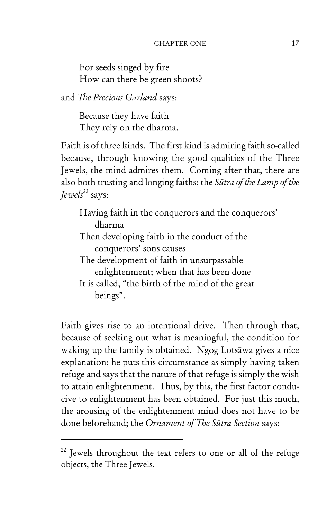For seeds singed by fire How can there be green shoots?

and *The Precious Garland* says:

Because they have faith They rely on the dharma.

Faith is of three kinds. The first kind is admiring faith so-called because, through knowing the good qualities of the Three Jewels, the mind admires them. Coming after that, there are also both trusting and longing faiths; the *Sūtra of the Lamp of the Jewels*<sup>22</sup> says:

Having faith in the conquerors and the conquerors' dharma

- Then developing faith in the conduct of the conquerors' sons causes
- The development of faith in unsurpassable enlightenment; when that has been done

It is called, "the birth of the mind of the great beings".

Faith gives rise to an intentional drive. Then through that, because of seeking out what is meaningful, the condition for waking up the family is obtained. Ngog Lotsāwa gives a nice explanation; he puts this circumstance as simply having taken refuge and says that the nature of that refuge is simply the wish to attain enlightenment. Thus, by this, the first factor conducive to enlightenment has been obtained. For just this much, the arousing of the enlightenment mind does not have to be done beforehand; the *Ornament of The Sūtra Section* says:

<sup>&</sup>lt;sup>22</sup> Jewels throughout the text refers to one or all of the refuge objects, the Three Jewels.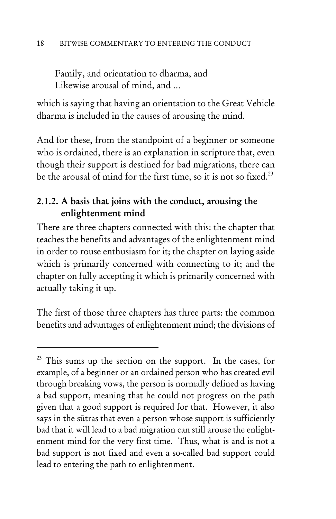Family, and orientation to dharma, and Likewise arousal of mind, and …

which is saying that having an orientation to the Great Vehicle dharma is included in the causes of arousing the mind.

And for these, from the standpoint of a beginner or someone who is ordained, there is an explanation in scripture that, even though their support is destined for bad migrations, there can be the arousal of mind for the first time, so it is not so fixed.<sup>23</sup>

### 2.1.2. A basis that joins with the conduct, arousing the enlightenment mind

There are three chapters connected with this: the chapter that teaches the benefits and advantages of the enlightenment mind in order to rouse enthusiasm for it; the chapter on laying aside which is primarily concerned with connecting to it; and the chapter on fully accepting it which is primarily concerned with actually taking it up.

The first of those three chapters has three parts: the common benefits and advantages of enlightenment mind; the divisions of

 $^{23}$  This sums up the section on the support. In the cases, for example, of a beginner or an ordained person who has created evil through breaking vows, the person is normally defined as having a bad support, meaning that he could not progress on the path given that a good support is required for that. However, it also says in the sūtras that even a person whose support is sufficiently bad that it will lead to a bad migration can still arouse the enlightenment mind for the very first time. Thus, what is and is not a bad support is not fixed and even a so-called bad support could lead to entering the path to enlightenment.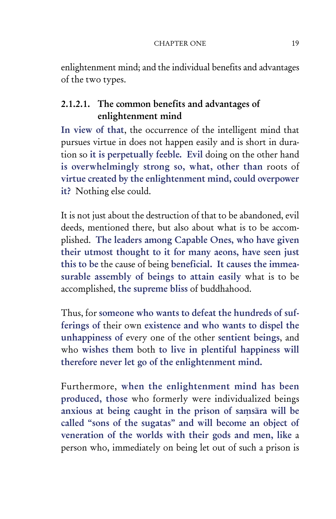enlightenment mind; and the individual benefits and advantages of the two types.

## 2.1.2.1. The common benefits and advantages of enlightenment mind

In view of that, the occurrence of the intelligent mind that pursues virtue in does not happen easily and is short in duration so it is perpetually feeble. Evil doing on the other hand is overwhelmingly strong so, what, other than roots of virtue created by the enlightenment mind, could overpower it? Nothing else could.

It is not just about the destruction of that to be abandoned, evil deeds, mentioned there, but also about what is to be accomplished. The leaders among Capable Ones, who have given their utmost thought to it for many aeons, have seen just this to be the cause of being beneficial. It causes the immeasurable assembly of beings to attain easily what is to be accomplished, the supreme bliss of buddhahood.

Thus, for someone who wants to defeat the hundreds of sufferings of their own existence and who wants to dispel the unhappiness of every one of the other sentient beings, and who wishes them both to live in plentiful happiness will therefore never let go of the enlightenment mind.

Furthermore, when the enlightenment mind has been produced, those who formerly were individualized beings anxious at being caught in the prison of saṃsāra will be called "sons of the sugatas" and will become an object of veneration of the worlds with their gods and men, like a person who, immediately on being let out of such a prison is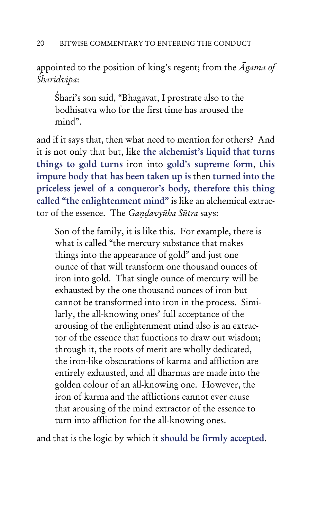appointed to the position of king's regent; from the *Āgama of Śharidvipa*:

Śhari's son said, "Bhagavat, I prostrate also to the bodhisatva who for the first time has aroused the mind".

and if it says that, then what need to mention for others? And it is not only that but, like the alchemist's liquid that turns things to gold turns iron into gold's supreme form, this impure body that has been taken up is then turned into the priceless jewel of a conqueror's body, therefore this thing called "the enlightenment mind" is like an alchemical extractor of the essence. The *Gaṇḍavyūha Sūtra* says:

Son of the family, it is like this. For example, there is what is called "the mercury substance that makes things into the appearance of gold" and just one ounce of that will transform one thousand ounces of iron into gold. That single ounce of mercury will be exhausted by the one thousand ounces of iron but cannot be transformed into iron in the process. Similarly, the all-knowing ones' full acceptance of the arousing of the enlightenment mind also is an extractor of the essence that functions to draw out wisdom; through it, the roots of merit are wholly dedicated, the iron-like obscurations of karma and affliction are entirely exhausted, and all dharmas are made into the golden colour of an all-knowing one. However, the iron of karma and the afflictions cannot ever cause that arousing of the mind extractor of the essence to turn into affliction for the all-knowing ones.

and that is the logic by which it should be firmly accepted.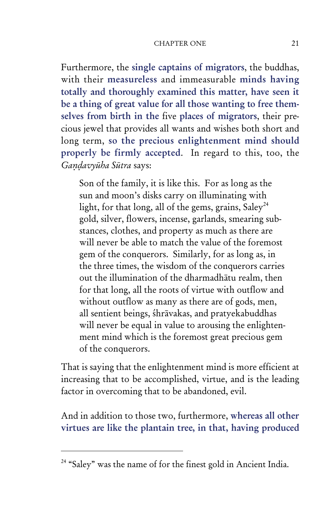#### CHAPTER ONE 21

Furthermore, the single captains of migrators, the buddhas, with their measureless and immeasurable minds having totally and thoroughly examined this matter, have seen it be a thing of great value for all those wanting to free themselves from birth in the five places of migrators, their precious jewel that provides all wants and wishes both short and long term, so the precious enlightenment mind should properly be firmly accepted. In regard to this, too, the *Gaṇḍavyūha Sūtra* says:

Son of the family, it is like this. For as long as the sun and moon's disks carry on illuminating with light, for that long, all of the gems, grains,  $\text{Saley}^{24}$ gold, silver, flowers, incense, garlands, smearing substances, clothes, and property as much as there are will never be able to match the value of the foremost gem of the conquerors. Similarly, for as long as, in the three times, the wisdom of the conquerors carries out the illumination of the dharmadhātu realm, then for that long, all the roots of virtue with outflow and without outflow as many as there are of gods, men, all sentient beings, śhrāvakas, and pratyekabuddhas will never be equal in value to arousing the enlightenment mind which is the foremost great precious gem of the conquerors.

That is saying that the enlightenment mind is more efficient at increasing that to be accomplished, virtue, and is the leading factor in overcoming that to be abandoned, evil.

And in addition to those two, furthermore, whereas all other virtues are like the plantain tree, in that, having produced

<sup>&</sup>lt;sup>24</sup> "Saley" was the name of for the finest gold in Ancient India.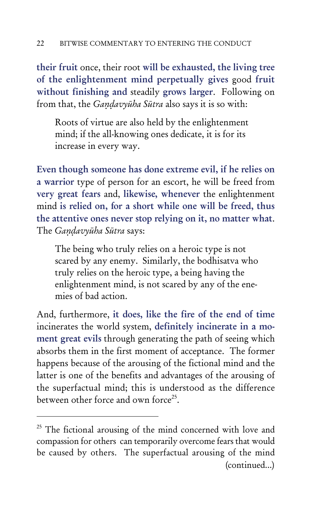their fruit once, their root will be exhausted, the living tree of the enlightenment mind perpetually gives good fruit without finishing and steadily grows larger. Following on from that, the *Gaṇḍavyūha Sūtra* also says it is so with:

Roots of virtue are also held by the enlightenment mind; if the all-knowing ones dedicate, it is for its increase in every way.

Even though someone has done extreme evil, if he relies on a warrior type of person for an escort, he will be freed from very great fears and, likewise, whenever the enlightenment mind is relied on, for a short while one will be freed, thus the attentive ones never stop relying on it, no matter what. The *Gaṇḍavyūha Sūtra* says:

The being who truly relies on a heroic type is not scared by any enemy. Similarly, the bodhisatva who truly relies on the heroic type, a being having the enlightenment mind, is not scared by any of the enemies of bad action.

And, furthermore, it does, like the fire of the end of time incinerates the world system, definitely incinerate in a moment great evils through generating the path of seeing which absorbs them in the first moment of acceptance. The former happens because of the arousing of the fictional mind and the latter is one of the benefits and advantages of the arousing of the superfactual mind; this is understood as the difference between other force and own force<sup>25</sup>.

<sup>&</sup>lt;sup>25</sup> The fictional arousing of the mind concerned with love and compassion for others can temporarily overcome fears that would be caused by others. The superfactual arousing of the mind (continued...)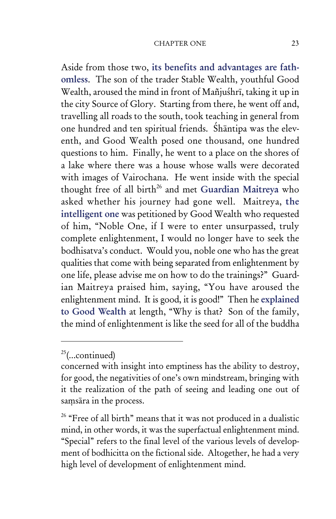#### CHAPTER ONE 23

Aside from those two, its benefits and advantages are fathomless. The son of the trader Stable Wealth, youthful Good Wealth, aroused the mind in front of Mañjuśhrī, taking it up in the city Source of Glory. Starting from there, he went off and, travelling all roads to the south, took teaching in general from one hundred and ten spiritual friends. Śhāntipa was the eleventh, and Good Wealth posed one thousand, one hundred questions to him. Finally, he went to a place on the shores of a lake where there was a house whose walls were decorated with images of Vairochana. He went inside with the special thought free of all birth<sup>26</sup> and met Guardian Maitreya who asked whether his journey had gone well. Maitreya, the intelligent one was petitioned by Good Wealth who requested of him, "Noble One, if I were to enter unsurpassed, truly complete enlightenment, I would no longer have to seek the bodhisatva's conduct. Would you, noble one who has the great qualities that come with being separated from enlightenment by one life, please advise me on how to do the trainings?" Guardian Maitreya praised him, saying, "You have aroused the enlightenment mind. It is good, it is good!" Then he explained to Good Wealth at length, "Why is that? Son of the family, the mind of enlightenment is like the seed for all of the buddha

 $25$ (...continued)

concerned with insight into emptiness has the ability to destroy, for good, the negativities of one's own mindstream, bringing with it the realization of the path of seeing and leading one out of saṃsāra in the process.

<sup>&</sup>lt;sup>26</sup> "Free of all birth" means that it was not produced in a dualistic mind, in other words, it was the superfactual enlightenment mind. "Special" refers to the final level of the various levels of development of bodhicitta on the fictional side. Altogether, he had a very high level of development of enlightenment mind.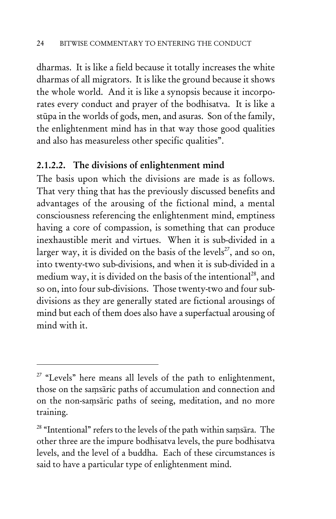dharmas. It is like a field because it totally increases the white dharmas of all migrators. It is like the ground because it shows the whole world. And it is like a synopsis because it incorporates every conduct and prayer of the bodhisatva. It is like a stūpa in the worlds of gods, men, and asuras. Son of the family, the enlightenment mind has in that way those good qualities and also has measureless other specific qualities".

### 2.1.2.2. The divisions of enlightenment mind

The basis upon which the divisions are made is as follows. That very thing that has the previously discussed benefits and advantages of the arousing of the fictional mind, a mental consciousness referencing the enlightenment mind, emptiness having a core of compassion, is something that can produce inexhaustible merit and virtues. When it is sub-divided in a larger way, it is divided on the basis of the levels<sup>27</sup>, and so on, into twenty-two sub-divisions, and when it is sub-divided in a medium way, it is divided on the basis of the intentional<sup>28</sup>, and so on, into four sub-divisions. Those twenty-two and four subdivisions as they are generally stated are fictional arousings of mind but each of them does also have a superfactual arousing of mind with it.

 $27$  "Levels" here means all levels of the path to enlightenment, those on the saṃsāric paths of accumulation and connection and on the non-saṃsāric paths of seeing, meditation, and no more training.

<sup>&</sup>lt;sup>28</sup> "Intentional" refers to the levels of the path within samsāra. The other three are the impure bodhisatva levels, the pure bodhisatva levels, and the level of a buddha. Each of these circumstances is said to have a particular type of enlightenment mind.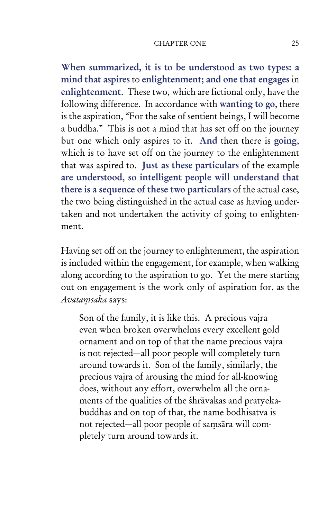#### CHAPTER ONE 25

When summarized, it is to be understood as two types: a mind that aspires to enlightenment; and one that engages in enlightenment. These two, which are fictional only, have the following difference. In accordance with wanting to go, there is the aspiration, "For the sake of sentient beings, I will become a buddha." This is not a mind that has set off on the journey but one which only aspires to it. And then there is going, which is to have set off on the journey to the enlightenment that was aspired to. Just as these particulars of the example are understood, so intelligent people will understand that there is a sequence of these two particulars of the actual case, the two being distinguished in the actual case as having undertaken and not undertaken the activity of going to enlightenment.

Having set off on the journey to enlightenment, the aspiration is included within the engagement, for example, when walking along according to the aspiration to go. Yet the mere starting out on engagement is the work only of aspiration for, as the *Avataṃsaka* says:

Son of the family, it is like this. A precious vajra even when broken overwhelms every excellent gold ornament and on top of that the name precious vajra is not rejected—all poor people will completely turn around towards it. Son of the family, similarly, the precious vajra of arousing the mind for all-knowing does, without any effort, overwhelm all the ornaments of the qualities of the śhrāvakas and pratyekabuddhas and on top of that, the name bodhisatva is not rejected—all poor people of saṃsāra will completely turn around towards it.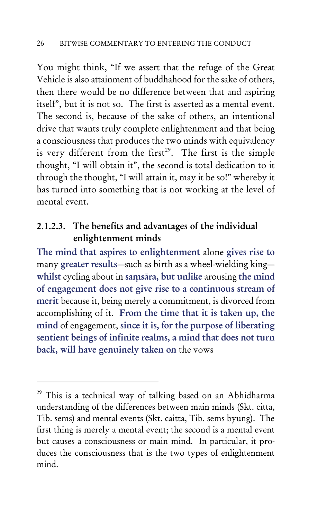You might think, "If we assert that the refuge of the Great Vehicle is also attainment of buddhahood for the sake of others, then there would be no difference between that and aspiring itself", but it is not so. The first is asserted as a mental event. The second is, because of the sake of others, an intentional drive that wants truly complete enlightenment and that being a consciousness that produces the two minds with equivalency is very different from the first<sup>29</sup>. The first is the simple thought, "I will obtain it", the second is total dedication to it through the thought, "I will attain it, may it be so!" whereby it has turned into something that is not working at the level of mental event.

### 2.1.2.3. The benefits and advantages of the individual enlightenment minds

The mind that aspires to enlightenment alone gives rise to many greater results—such as birth as a wheel-wielding king whilst cycling about in saṃsāra, but unlike arousing the mind of engagement does not give rise to a continuous stream of merit because it, being merely a commitment, is divorced from accomplishing of it. From the time that it is taken up, the mind of engagement, since it is, for the purpose of liberating sentient beings of infinite realms, a mind that does not turn back, will have genuinely taken on the vows

<sup>&</sup>lt;sup>29</sup> This is a technical way of talking based on an Abhidharma understanding of the differences between main minds (Skt. citta, Tib. sems) and mental events (Skt. caitta, Tib. sems byung). The first thing is merely a mental event; the second is a mental event but causes a consciousness or main mind. In particular, it produces the consciousness that is the two types of enlightenment mind.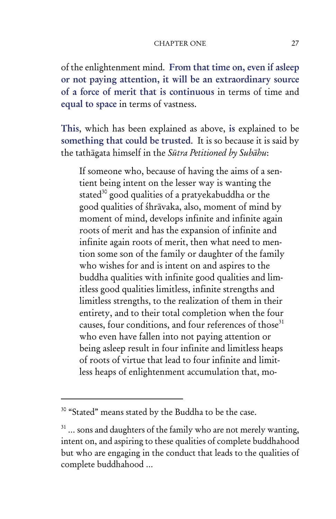of the enlightenment mind. From that time on, even if asleep or not paying attention, it will be an extraordinary source of a force of merit that is continuous in terms of time and equal to space in terms of vastness.

This, which has been explained as above, is explained to be something that could be trusted. It is so because it is said by the tathāgata himself in the *Sūtra Petitioned by Subāhu*:

If someone who, because of having the aims of a sentient being intent on the lesser way is wanting the stated<sup>30</sup> good qualities of a pratyekabuddha or the good qualities of śhrāvaka, also, moment of mind by moment of mind, develops infinite and infinite again roots of merit and has the expansion of infinite and infinite again roots of merit, then what need to mention some son of the family or daughter of the family who wishes for and is intent on and aspires to the buddha qualities with infinite good qualities and limitless good qualities limitless, infinite strengths and limitless strengths, to the realization of them in their entirety, and to their total completion when the four causes, four conditions, and four references of those<sup>31</sup> who even have fallen into not paying attention or being asleep result in four infinite and limitless heaps of roots of virtue that lead to four infinite and limitless heaps of enlightenment accumulation that, mo-

<sup>&</sup>lt;sup>30</sup> "Stated" means stated by the Buddha to be the case.

 $31$  ... sons and daughters of the family who are not merely wanting, intent on, and aspiring to these qualities of complete buddhahood but who are engaging in the conduct that leads to the qualities of complete buddhahood …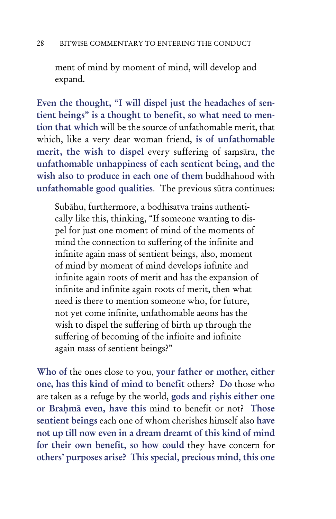ment of mind by moment of mind, will develop and expand.

Even the thought, "I will dispel just the headaches of sentient beings" is a thought to benefit, so what need to mention that which will be the source of unfathomable merit, that which, like a very dear woman friend, is of unfathomable merit, the wish to dispel every suffering of saṃsāra, the unfathomable unhappiness of each sentient being, and the wish also to produce in each one of them buddhahood with unfathomable good qualities. The previous sūtra continues:

Subāhu, furthermore, a bodhisatva trains authentically like this, thinking, "If someone wanting to dispel for just one moment of mind of the moments of mind the connection to suffering of the infinite and infinite again mass of sentient beings, also, moment of mind by moment of mind develops infinite and infinite again roots of merit and has the expansion of infinite and infinite again roots of merit, then what need is there to mention someone who, for future, not yet come infinite, unfathomable aeons has the wish to dispel the suffering of birth up through the suffering of becoming of the infinite and infinite again mass of sentient beings?"

Who of the ones close to you, your father or mother, either one, has this kind of mind to benefit others? Do those who are taken as a refuge by the world, gods and ṛiṣhis either one or Braḥmā even, have this mind to benefit or not? Those sentient beings each one of whom cherishes himself also have not up till now even in a dream dreamt of this kind of mind for their own benefit, so how could they have concern for others' purposes arise? This special, precious mind, this one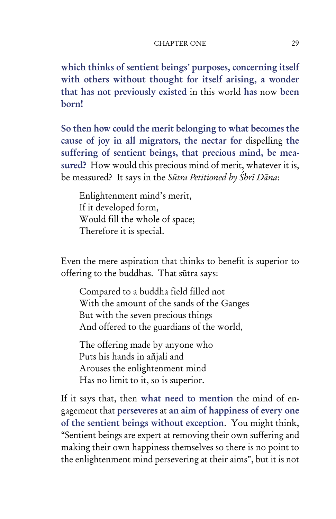#### CHAPTER ONE 29

which thinks of sentient beings' purposes, concerning itself with others without thought for itself arising, a wonder that has not previously existed in this world has now been born!

So then how could the merit belonging to what becomes the cause of joy in all migrators, the nectar for dispelling the suffering of sentient beings, that precious mind, be measured? How would this precious mind of merit, whatever it is, be measured? It says in the *Sūtra Petitioned by Śhrī Dāna*:

Enlightenment mind's merit, If it developed form, Would fill the whole of space; Therefore it is special.

Even the mere aspiration that thinks to benefit is superior to offering to the buddhas. That sūtra says:

Compared to a buddha field filled not With the amount of the sands of the Ganges But with the seven precious things And offered to the guardians of the world,

The offering made by anyone who Puts his hands in añjali and Arouses the enlightenment mind Has no limit to it, so is superior.

If it says that, then what need to mention the mind of engagement that perseveres at an aim of happiness of every one of the sentient beings without exception. You might think, "Sentient beings are expert at removing their own suffering and making their own happiness themselves so there is no point to the enlightenment mind persevering at their aims", but it is not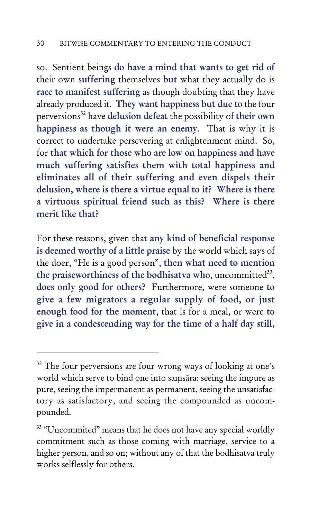so. Sentient beings do have a mind that wants to get rid of their own suffering themselves but what they actually do is race to manifest suffering as though doubting that they have already produced it. They want happiness but due to the four perversions<sup>32</sup> have delusion defeat the possibility of their own happiness as though it were an enemy. That is why it is correct to undertake persevering at enlightenment mind. So, for that which for those who are low on happiness and have much suffering satisfies them with total happiness and eliminates all of their suffering and even dispels their delusion, where is there a virtue equal to it? Where is there a virtuous spiritual friend such as this? Where is there merit like that?

For these reasons, given that any kind of beneficial response is deemed worthy of a little praise by the world which says of the doer, "He is a good person", then what need to mention the praiseworthiness of the bodhisatva who, uncommitted<sup>33</sup>, does only good for others? Furthermore, were someone to give a few migrators a regular supply of food, or just enough food for the moment, that is for a meal, or were to give in a condescending way for the time of a half day still,

<sup>&</sup>lt;sup>32</sup> The four perversions are four wrong ways of looking at one's world which serve to bind one into saṃsāra: seeing the impure as pure, seeing the impermanent as permanent, seeing the unsatisfactory as satisfactory, and seeing the compounded as uncompounded.

<sup>&</sup>lt;sup>33</sup> "Uncommited" means that he does not have any special worldly commitment such as those coming with marriage, service to a higher person, and so on; without any of that the bodhisatva truly works selflessly for others.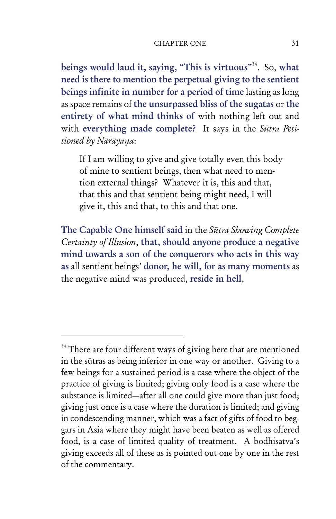beings would laud it, saying, "This is virtuous"<sup>34</sup>. So, what need is there to mention the perpetual giving to the sentient beings infinite in number for a period of time lasting as long as space remains of the unsurpassed bliss of the sugatas or the entirety of what mind thinks of with nothing left out and with everything made complete? It says in the *Sūtra Petitioned by Nārāyaṇa*:

If I am willing to give and give totally even this body of mine to sentient beings, then what need to mention external things? Whatever it is, this and that, that this and that sentient being might need, I will give it, this and that, to this and that one.

The Capable One himself said in the *Sūtra Showing Complete Certainty of Illusion*, that, should anyone produce a negative mind towards a son of the conquerors who acts in this way as all sentient beings' donor, he will, for as many moments as the negative mind was produced, reside in hell,

<sup>&</sup>lt;sup>34</sup> There are four different ways of giving here that are mentioned in the sūtras as being inferior in one way or another. Giving to a few beings for a sustained period is a case where the object of the practice of giving is limited; giving only food is a case where the substance is limited—after all one could give more than just food; giving just once is a case where the duration is limited; and giving in condescending manner, which was a fact of gifts of food to beggars in Asia where they might have been beaten as well as offered food, is a case of limited quality of treatment. A bodhisatva's giving exceeds all of these as is pointed out one by one in the rest of the commentary.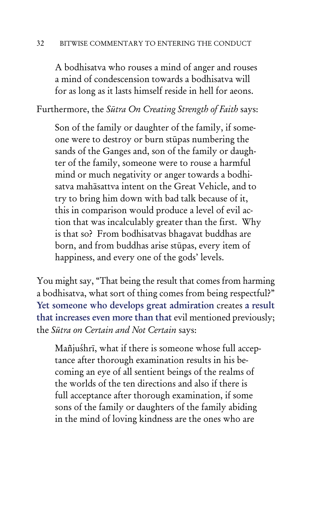A bodhisatva who rouses a mind of anger and rouses a mind of condescension towards a bodhisatva will for as long as it lasts himself reside in hell for aeons.

Furthermore, the *Sūtra On Creating Strength of Faith* says:

Son of the family or daughter of the family, if someone were to destroy or burn stūpas numbering the sands of the Ganges and, son of the family or daughter of the family, someone were to rouse a harmful mind or much negativity or anger towards a bodhisatva mahāsattva intent on the Great Vehicle, and to try to bring him down with bad talk because of it, this in comparison would produce a level of evil action that was incalculably greater than the first. Why is that so? From bodhisatvas bhagavat buddhas are born, and from buddhas arise stūpas, every item of happiness, and every one of the gods' levels.

You might say, "That being the result that comes from harming a bodhisatva, what sort of thing comes from being respectful?" Yet someone who develops great admiration creates a result that increases even more than that evil mentioned previously; the *Sūtra on Certain and Not Certain* says:

Mañjuśhrī, what if there is someone whose full acceptance after thorough examination results in his becoming an eye of all sentient beings of the realms of the worlds of the ten directions and also if there is full acceptance after thorough examination, if some sons of the family or daughters of the family abiding in the mind of loving kindness are the ones who are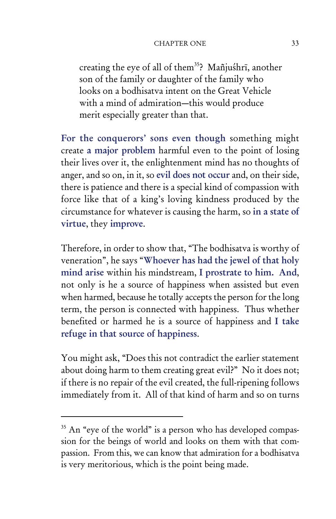creating the eye of all of them<sup>35</sup>? Mañjuśhrī, another son of the family or daughter of the family who looks on a bodhisatva intent on the Great Vehicle with a mind of admiration—this would produce merit especially greater than that.

For the conquerors' sons even though something might create a major problem harmful even to the point of losing their lives over it, the enlightenment mind has no thoughts of anger, and so on, in it, so evil does not occur and, on their side, there is patience and there is a special kind of compassion with force like that of a king's loving kindness produced by the circumstance for whatever is causing the harm, so in a state of virtue, they improve.

Therefore, in order to show that, "The bodhisatva is worthy of veneration", he says "Whoever has had the jewel of that holy mind arise within his mindstream, I prostrate to him. And, not only is he a source of happiness when assisted but even when harmed, because he totally accepts the person for the long term, the person is connected with happiness. Thus whether benefited or harmed he is a source of happiness and I take refuge in that source of happiness.

You might ask, "Does this not contradict the earlier statement about doing harm to them creating great evil?" No it does not; if there is no repair of the evil created, the full-ripening follows immediately from it. All of that kind of harm and so on turns

 $35$  An "eye of the world" is a person who has developed compassion for the beings of world and looks on them with that compassion. From this, we can know that admiration for a bodhisatva is very meritorious, which is the point being made.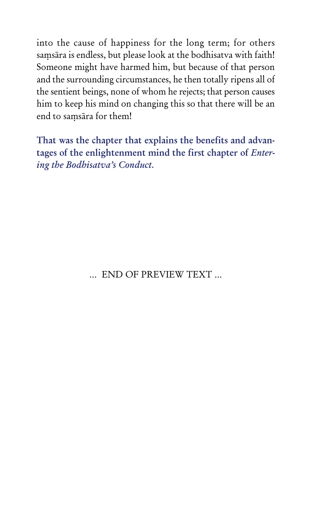into the cause of happiness for the long term; for others saṃsāra is endless, but please look at the bodhisatva with faith! Someone might have harmed him, but because of that person and the surrounding circumstances, he then totally ripens all of the sentient beings, none of whom he rejects; that person causes him to keep his mind on changing this so that there will be an end to saṃsāra for them!

That was the chapter that explains the benefits and advantages of the enlightenment mind the first chapter of *Entering the Bodhisatva's Conduct.*

… END OF PREVIEW TEXT …